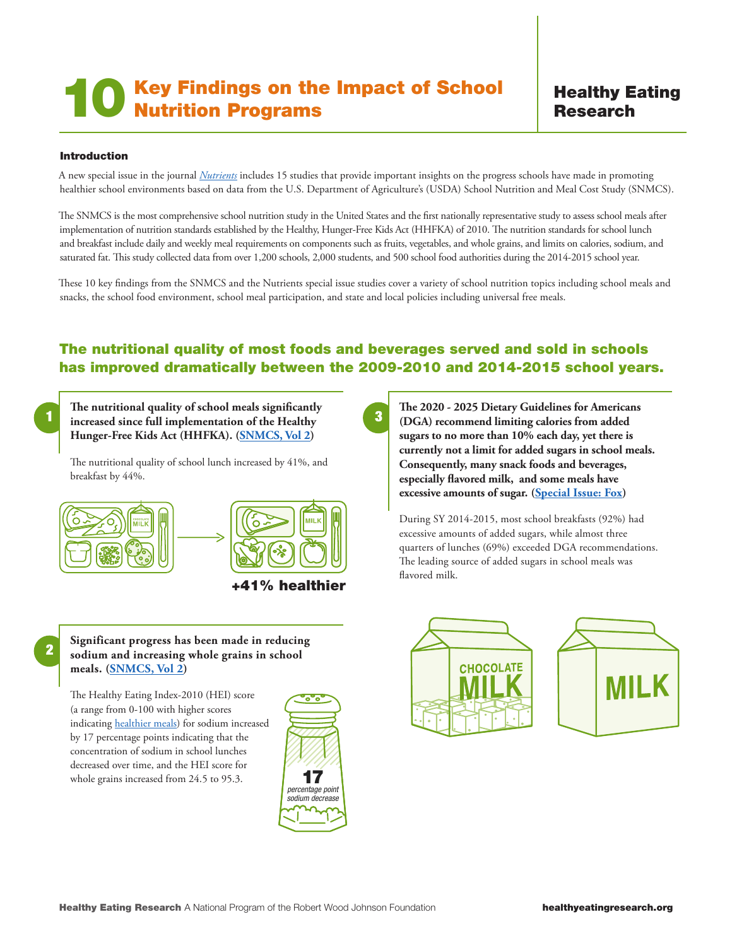# Key Findings on the Impact of School **10 Key Findings on the Nutrition Programs**

# Healthy Eating Research

#### Introduction

A new special issue in the journal *[Nutrients](https://www.mdpi.com/journal/nutrients/special_issues/school_nutrition_US)* includes 15 studies that provide important insights on the progress schools have made in promoting healthier school environments based on data from the U.S. Department of Agriculture's (USDA) School Nutrition and Meal Cost Study (SNMCS).

The SNMCS is the most comprehensive school nutrition study in the United States and the first nationally representative study to assess school meals after implementation of nutrition standards established by the Healthy, Hunger-Free Kids Act (HHFKA) of 2010. The nutrition standards for school lunch and breakfast include daily and weekly meal requirements on components such as fruits, vegetables, and whole grains, and limits on calories, sodium, and saturated fat. This study collected data from over 1,200 schools, 2,000 students, and 500 school food authorities during the 2014-2015 school year.

These 10 key findings from the SNMCS and the Nutrients special issue studies cover a variety of school nutrition topics including school meals and snacks, the school food environment, school meal participation, and state and local policies including universal free meals.

## The nutritional quality of most foods and beverages served and sold in schools has improved dramatically between the 2009-2010 and 2014-2015 school years.

2

**1** increased since full implementation of the Healthy **3 The nutritional quality of school meals significantly Hunger-Free Kids Act (HHFKA). [\(SNMCS, Vol 2\)](https://fns-prod.azureedge.net/sites/default/files/resource-files/SNMCS-Volume2.pdf)**

The nutritional quality of school lunch increased by 41%, and breakfast by 44%.



#### +41% healthier

**The 2020 - 2025 Dietary Guidelines for Americans (DGA) recommend limiting calories from added sugars to no more than 10% each day, yet there is currently not a limit for added sugars in school meals. Consequently, many snack foods and beverages, especially flavored milk, and some meals have excessive amounts of sugar. ([Special Issue: Fox\)](https://www.mdpi.com/2072-6643/13/2/471)** 

During SY 2014-2015, most school breakfasts (92%) had excessive amounts of added sugars, while almost three quarters of lunches (69%) exceeded DGA recommendations. The leading source of added sugars in school meals was flavored milk.





#### **Significant progress has been made in reducing sodium and increasing whole grains in school meals. ([SNMCS, Vol 2](https://fns-prod.azureedge.net/sites/default/files/resource-files/SNMCS-Volume2.pdf))**

The Healthy Eating Index-2010 (HEI) score (a range from 0-100 with higher scores indicating [healthier meals\)](https://healthyeatingresearch.org/wp-content/uploads/2020/09/HER-Reducing-Sodium-1.pdf) for sodium increased by 17 percentage points indicating that the concentration of sodium in school lunches decreased over time, and the HEI score for whole grains increased from 24.5 to 95.3.  $\blacksquare$